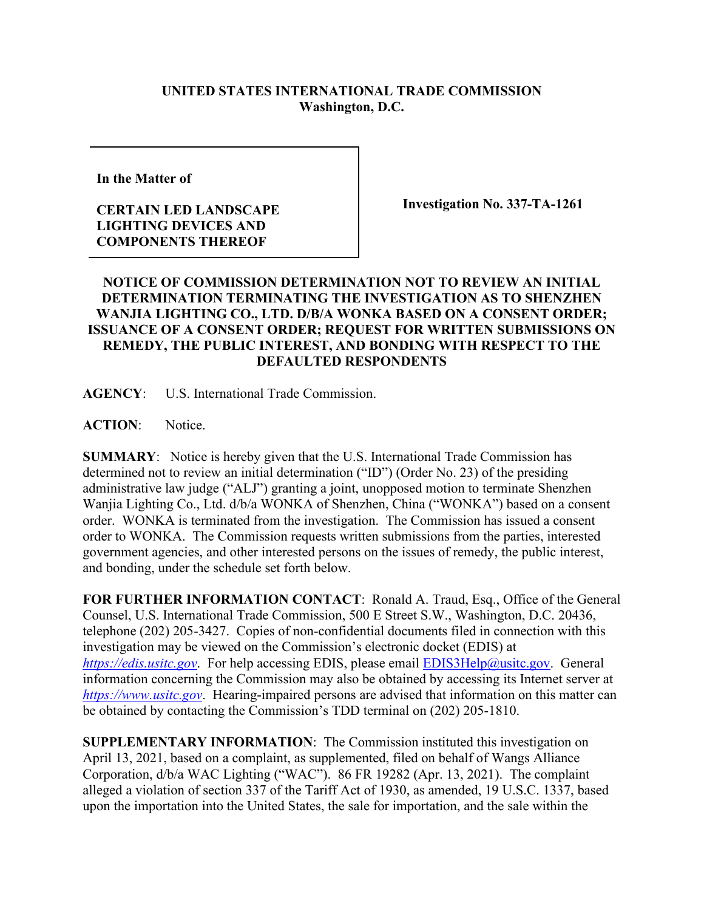## **UNITED STATES INTERNATIONAL TRADE COMMISSION Washington, D.C.**

**In the Matter of** 

## **CERTAIN LED LANDSCAPE LIGHTING DEVICES AND COMPONENTS THEREOF**

**Investigation No. 337-TA-1261**

## **NOTICE OF COMMISSION DETERMINATION NOT TO REVIEW AN INITIAL DETERMINATION TERMINATING THE INVESTIGATION AS TO SHENZHEN WANJIA LIGHTING CO., LTD. D/B/A WONKA BASED ON A CONSENT ORDER; ISSUANCE OF A CONSENT ORDER; REQUEST FOR WRITTEN SUBMISSIONS ON REMEDY, THE PUBLIC INTEREST, AND BONDING WITH RESPECT TO THE DEFAULTED RESPONDENTS**

**AGENCY**: U.S. International Trade Commission.

**ACTION**: Notice.

**SUMMARY**: Notice is hereby given that the U.S. International Trade Commission has determined not to review an initial determination ("ID") (Order No. 23) of the presiding administrative law judge ("ALJ") granting a joint, unopposed motion to terminate Shenzhen Wanjia Lighting Co., Ltd. d/b/a WONKA of Shenzhen, China ("WONKA") based on a consent order. WONKA is terminated from the investigation. The Commission has issued a consent order to WONKA. The Commission requests written submissions from the parties, interested government agencies, and other interested persons on the issues of remedy, the public interest, and bonding, under the schedule set forth below.

**FOR FURTHER INFORMATION CONTACT**: Ronald A. Traud, Esq., Office of the General Counsel, U.S. International Trade Commission, 500 E Street S.W., Washington, D.C. 20436, telephone (202) 205-3427. Copies of non-confidential documents filed in connection with this investigation may be viewed on the Commission's electronic docket (EDIS) at *[https://edis.usitc.gov](https://edis.usitc.gov/).* For help accessing EDIS, please email **EDIS3Help@usitc.gov**. General information concerning the Commission may also be obtained by accessing its Internet server at *[https://www.usitc.gov](https://www.usitc.gov/)*. Hearing-impaired persons are advised that information on this matter can be obtained by contacting the Commission's TDD terminal on (202) 205-1810.

**SUPPLEMENTARY INFORMATION**: The Commission instituted this investigation on April 13, 2021, based on a complaint, as supplemented, filed on behalf of Wangs Alliance Corporation, d/b/a WAC Lighting ("WAC"). 86 FR 19282 (Apr. 13, 2021). The complaint alleged a violation of section 337 of the Tariff Act of 1930, as amended, 19 U.S.C. 1337, based upon the importation into the United States, the sale for importation, and the sale within the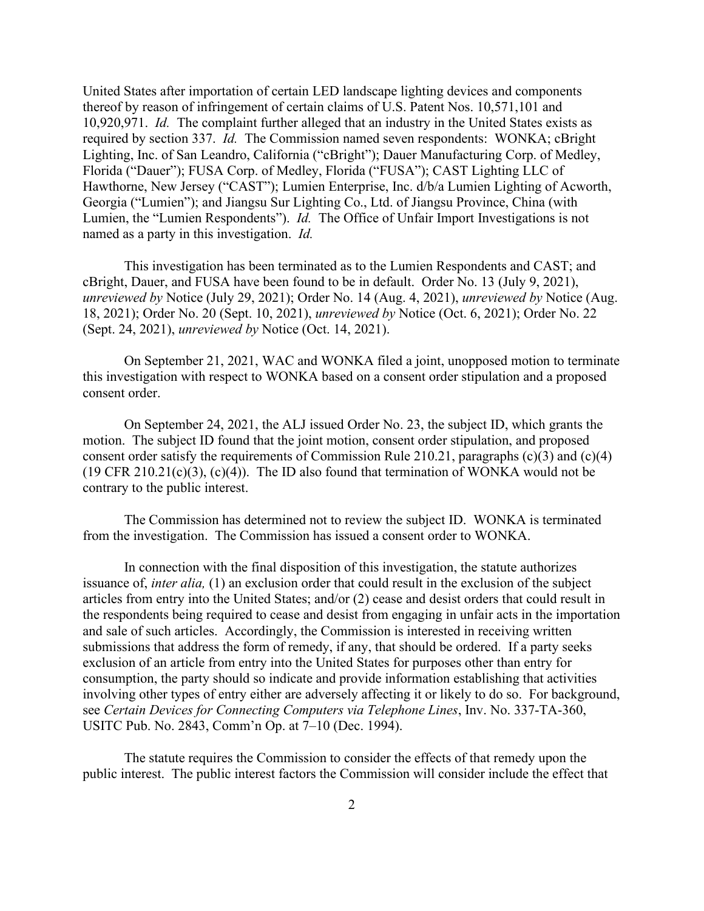United States after importation of certain LED landscape lighting devices and components thereof by reason of infringement of certain claims of U.S. Patent Nos. 10,571,101 and 10,920,971. *Id.* The complaint further alleged that an industry in the United States exists as required by section 337. *Id.* The Commission named seven respondents: WONKA; cBright Lighting, Inc. of San Leandro, California ("cBright"); Dauer Manufacturing Corp. of Medley, Florida ("Dauer"); FUSA Corp. of Medley, Florida ("FUSA"); CAST Lighting LLC of Hawthorne, New Jersey ("CAST"); Lumien Enterprise, Inc. d/b/a Lumien Lighting of Acworth, Georgia ("Lumien"); and Jiangsu Sur Lighting Co., Ltd. of Jiangsu Province, China (with Lumien, the "Lumien Respondents"). *Id.* The Office of Unfair Import Investigations is not named as a party in this investigation. *Id.*

This investigation has been terminated as to the Lumien Respondents and CAST; and cBright, Dauer, and FUSA have been found to be in default. Order No. 13 (July 9, 2021), *unreviewed by* Notice (July 29, 2021); Order No. 14 (Aug. 4, 2021), *unreviewed by* Notice (Aug. 18, 2021); Order No. 20 (Sept. 10, 2021), *unreviewed by* Notice (Oct. 6, 2021); Order No. 22 (Sept. 24, 2021), *unreviewed by* Notice (Oct. 14, 2021).

On September 21, 2021, WAC and WONKA filed a joint, unopposed motion to terminate this investigation with respect to WONKA based on a consent order stipulation and a proposed consent order.

On September 24, 2021, the ALJ issued Order No. 23, the subject ID, which grants the motion. The subject ID found that the joint motion, consent order stipulation, and proposed consent order satisfy the requirements of Commission Rule 210.21, paragraphs (c)(3) and (c)(4) (19 CFR 210.21 $(c)(3)$ ,  $(c)(4)$ ). The ID also found that termination of WONKA would not be contrary to the public interest.

The Commission has determined not to review the subject ID. WONKA is terminated from the investigation. The Commission has issued a consent order to WONKA.

In connection with the final disposition of this investigation, the statute authorizes issuance of, *inter alia,* (1) an exclusion order that could result in the exclusion of the subject articles from entry into the United States; and/or (2) cease and desist orders that could result in the respondents being required to cease and desist from engaging in unfair acts in the importation and sale of such articles. Accordingly, the Commission is interested in receiving written submissions that address the form of remedy, if any, that should be ordered. If a party seeks exclusion of an article from entry into the United States for purposes other than entry for consumption, the party should so indicate and provide information establishing that activities involving other types of entry either are adversely affecting it or likely to do so. For background, see *Certain Devices for Connecting Computers via Telephone Lines*, Inv. No. 337-TA-360, USITC Pub. No. 2843, Comm'n Op. at 7–10 (Dec. 1994).

The statute requires the Commission to consider the effects of that remedy upon the public interest. The public interest factors the Commission will consider include the effect that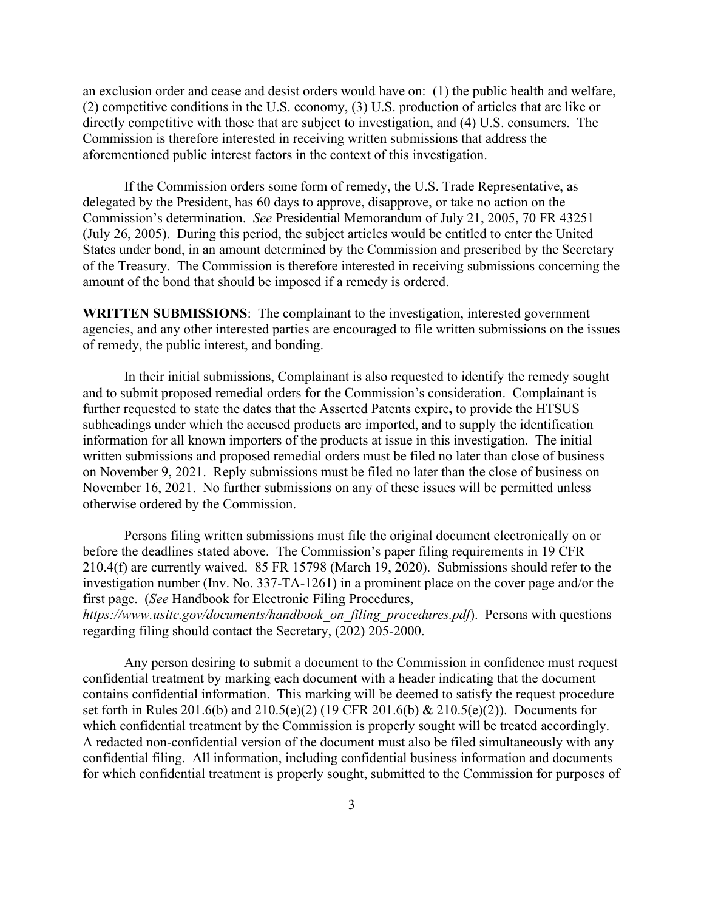an exclusion order and cease and desist orders would have on: (1) the public health and welfare, (2) competitive conditions in the U.S. economy, (3) U.S. production of articles that are like or directly competitive with those that are subject to investigation, and (4) U.S. consumers. The Commission is therefore interested in receiving written submissions that address the aforementioned public interest factors in the context of this investigation.

If the Commission orders some form of remedy, the U.S. Trade Representative, as delegated by the President, has 60 days to approve, disapprove, or take no action on the Commission's determination. *See* Presidential Memorandum of July 21, 2005, 70 FR 43251 (July 26, 2005). During this period, the subject articles would be entitled to enter the United States under bond, in an amount determined by the Commission and prescribed by the Secretary of the Treasury. The Commission is therefore interested in receiving submissions concerning the amount of the bond that should be imposed if a remedy is ordered.

**WRITTEN SUBMISSIONS**: The complainant to the investigation, interested government agencies, and any other interested parties are encouraged to file written submissions on the issues of remedy, the public interest, and bonding.

In their initial submissions, Complainant is also requested to identify the remedy sought and to submit proposed remedial orders for the Commission's consideration. Complainant is further requested to state the dates that the Asserted Patents expire**,** to provide the HTSUS subheadings under which the accused products are imported, and to supply the identification information for all known importers of the products at issue in this investigation. The initial written submissions and proposed remedial orders must be filed no later than close of business on November 9, 2021. Reply submissions must be filed no later than the close of business on November 16, 2021. No further submissions on any of these issues will be permitted unless otherwise ordered by the Commission.

Persons filing written submissions must file the original document electronically on or before the deadlines stated above. The Commission's paper filing requirements in 19 CFR 210.4(f) are currently waived. 85 FR 15798 (March 19, 2020). Submissions should refer to the investigation number (Inv. No. 337-TA-1261) in a prominent place on the cover page and/or the first page. (*See* Handbook for Electronic Filing Procedures,

*https://www.usitc.gov/documents/handbook\_on\_filing\_procedures.pdf*). Persons with questions regarding filing should contact the Secretary, (202) 205-2000.

Any person desiring to submit a document to the Commission in confidence must request confidential treatment by marking each document with a header indicating that the document contains confidential information. This marking will be deemed to satisfy the request procedure set forth in Rules 201.6(b) and 210.5(e)(2) (19 CFR 201.6(b) & 210.5(e)(2)). Documents for which confidential treatment by the Commission is properly sought will be treated accordingly. A redacted non-confidential version of the document must also be filed simultaneously with any confidential filing. All information, including confidential business information and documents for which confidential treatment is properly sought, submitted to the Commission for purposes of